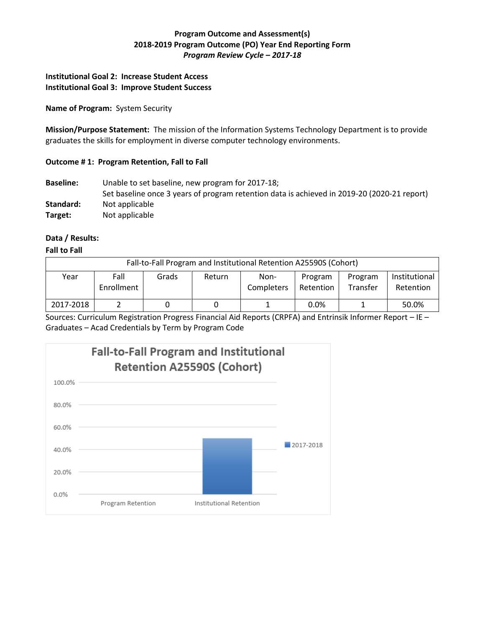## **Program Outcome and Assessment(s) 2018-2019 Program Outcome (PO) Year End Reporting Form** *Program Review Cycle – 2017-18*

## **Institutional Goal 2: Increase Student Access Institutional Goal 3: Improve Student Success**

### **Name of Program:** System Security

**Mission/Purpose Statement:** The mission of the Information Systems Technology Department is to provide graduates the skills for employment in diverse computer technology environments.

# **Outcome # 1: Program Retention, Fall to Fall**

**Baseline:** Unable to set baseline, new program for 2017-18; Set baseline once 3 years of program retention data is achieved in 2019-20 (2020-21 report) Standard: Not applicable **Target:** Not applicable

## **Data / Results:**

### **Fall to Fall**

| Fall-to-Fall Program and Institutional Retention A25590S (Cohort) |                    |       |        |                    |                      |                     |                            |  |
|-------------------------------------------------------------------|--------------------|-------|--------|--------------------|----------------------|---------------------|----------------------------|--|
| Year                                                              | Fall<br>Enrollment | Grads | Return | Non-<br>Completers | Program<br>Retention | Program<br>Transfer | Institutional<br>Retention |  |
| 2017-2018                                                         |                    |       |        |                    | 0.0%                 |                     | 50.0%                      |  |

Sources: Curriculum Registration Progress Financial Aid Reports (CRPFA) and Entrinsik Informer Report – IE – Graduates – Acad Credentials by Term by Program Code